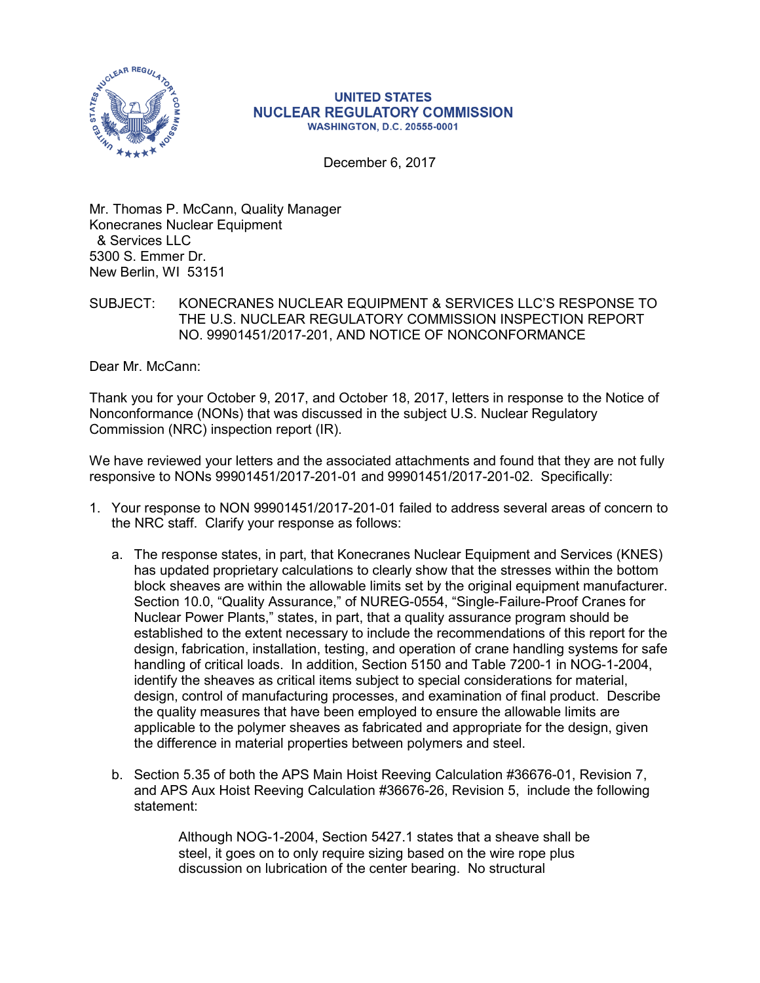

## **UNITED STATES NUCLEAR REGULATORY COMMISSION WASHINGTON, D.C. 20555-0001**

December 6, 2017

Mr. Thomas P. McCann, Quality Manager Konecranes Nuclear Equipment & Services LLC 5300 S. Emmer Dr. New Berlin, WI 53151

SUBJECT: KONECRANES NUCLEAR EQUIPMENT & SERVICES LLC'S RESPONSE TO THE U.S. NUCLEAR REGULATORY COMMISSION INSPECTION REPORT NO. 99901451/2017-201, AND NOTICE OF NONCONFORMANCE

Dear Mr. McCann:

Thank you for your October 9, 2017, and October 18, 2017, letters in response to the Notice of Nonconformance (NONs) that was discussed in the subject U.S. Nuclear Regulatory Commission (NRC) inspection report (IR).

We have reviewed your letters and the associated attachments and found that they are not fully responsive to NONs 99901451/2017-201-01 and 99901451/2017-201-02. Specifically:

- 1. Your response to NON 99901451/2017-201-01 failed to address several areas of concern to the NRC staff. Clarify your response as follows:
	- a. The response states, in part, that Konecranes Nuclear Equipment and Services (KNES) has updated proprietary calculations to clearly show that the stresses within the bottom block sheaves are within the allowable limits set by the original equipment manufacturer. Section 10.0, "Quality Assurance," of NUREG-0554, "Single-Failure-Proof Cranes for Nuclear Power Plants," states, in part, that a quality assurance program should be established to the extent necessary to include the recommendations of this report for the design, fabrication, installation, testing, and operation of crane handling systems for safe handling of critical loads. In addition, Section 5150 and Table 7200-1 in NOG-1-2004, identify the sheaves as critical items subject to special considerations for material, design, control of manufacturing processes, and examination of final product. Describe the quality measures that have been employed to ensure the allowable limits are applicable to the polymer sheaves as fabricated and appropriate for the design, given the difference in material properties between polymers and steel.
	- b. Section 5.35 of both the APS Main Hoist Reeving Calculation #36676-01, Revision 7, and APS Aux Hoist Reeving Calculation #36676-26, Revision 5, include the following statement:

Although NOG-1-2004, Section 5427.1 states that a sheave shall be steel, it goes on to only require sizing based on the wire rope plus discussion on lubrication of the center bearing. No structural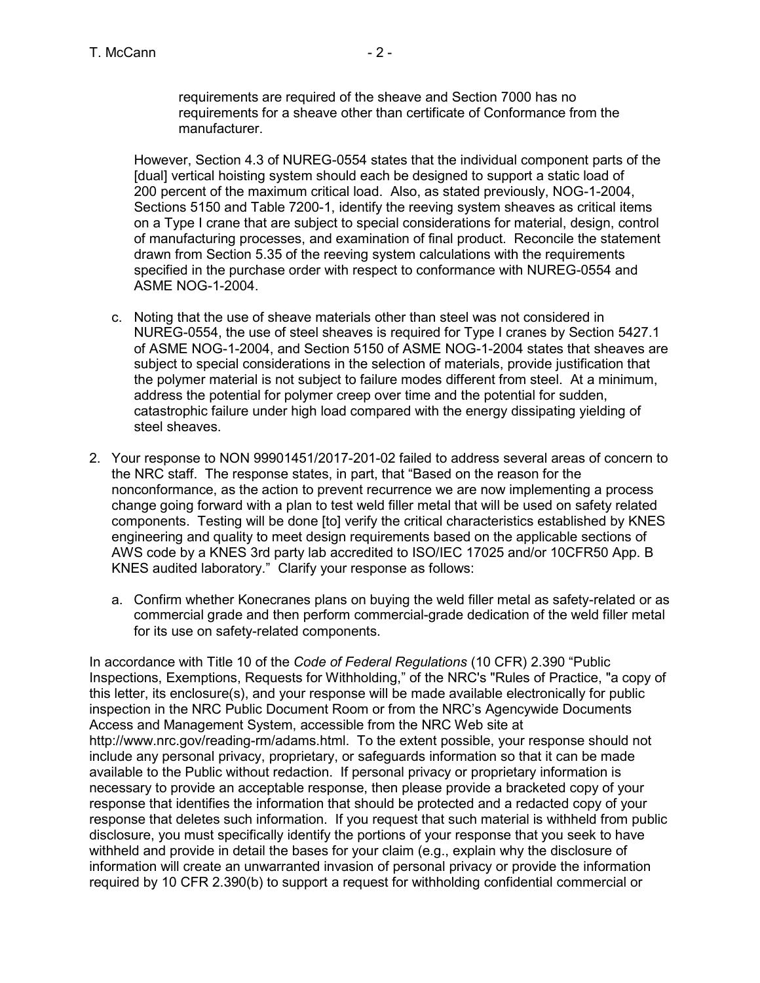requirements are required of the sheave and Section 7000 has no requirements for a sheave other than certificate of Conformance from the manufacturer.

However, Section 4.3 of NUREG-0554 states that the individual component parts of the [dual] vertical hoisting system should each be designed to support a static load of 200 percent of the maximum critical load. Also, as stated previously, NOG-1-2004, Sections 5150 and Table 7200-1, identify the reeving system sheaves as critical items on a Type I crane that are subject to special considerations for material, design, control of manufacturing processes, and examination of final product. Reconcile the statement drawn from Section 5.35 of the reeving system calculations with the requirements specified in the purchase order with respect to conformance with NUREG-0554 and ASME NOG-1-2004.

- c. Noting that the use of sheave materials other than steel was not considered in NUREG-0554, the use of steel sheaves is required for Type I cranes by Section 5427.1 of ASME NOG-1-2004, and Section 5150 of ASME NOG-1-2004 states that sheaves are subject to special considerations in the selection of materials, provide justification that the polymer material is not subject to failure modes different from steel. At a minimum, address the potential for polymer creep over time and the potential for sudden, catastrophic failure under high load compared with the energy dissipating yielding of steel sheaves.
- 2. Your response to NON 99901451/2017-201-02 failed to address several areas of concern to the NRC staff. The response states, in part, that "Based on the reason for the nonconformance, as the action to prevent recurrence we are now implementing a process change going forward with a plan to test weld filler metal that will be used on safety related components. Testing will be done [to] verify the critical characteristics established by KNES engineering and quality to meet design requirements based on the applicable sections of AWS code by a KNES 3rd party lab accredited to ISO/IEC 17025 and/or 10CFR50 App. B KNES audited laboratory." Clarify your response as follows:
	- a. Confirm whether Konecranes plans on buying the weld filler metal as safety-related or as commercial grade and then perform commercial-grade dedication of the weld filler metal for its use on safety-related components.

In accordance with Title 10 of the *Code of Federal Regulations* (10 CFR) 2.390 "Public Inspections, Exemptions, Requests for Withholding," of the NRC's "Rules of Practice, "a copy of this letter, its enclosure(s), and your response will be made available electronically for public inspection in the NRC Public Document Room or from the NRC's Agencywide Documents Access and Management System, accessible from the NRC Web site at http://www.nrc.gov/reading-rm/adams.html. To the extent possible, your response should not include any personal privacy, proprietary, or safeguards information so that it can be made available to the Public without redaction. If personal privacy or proprietary information is necessary to provide an acceptable response, then please provide a bracketed copy of your response that identifies the information that should be protected and a redacted copy of your response that deletes such information. If you request that such material is withheld from public disclosure, you must specifically identify the portions of your response that you seek to have withheld and provide in detail the bases for your claim (e.g., explain why the disclosure of information will create an unwarranted invasion of personal privacy or provide the information required by 10 CFR 2.390(b) to support a request for withholding confidential commercial or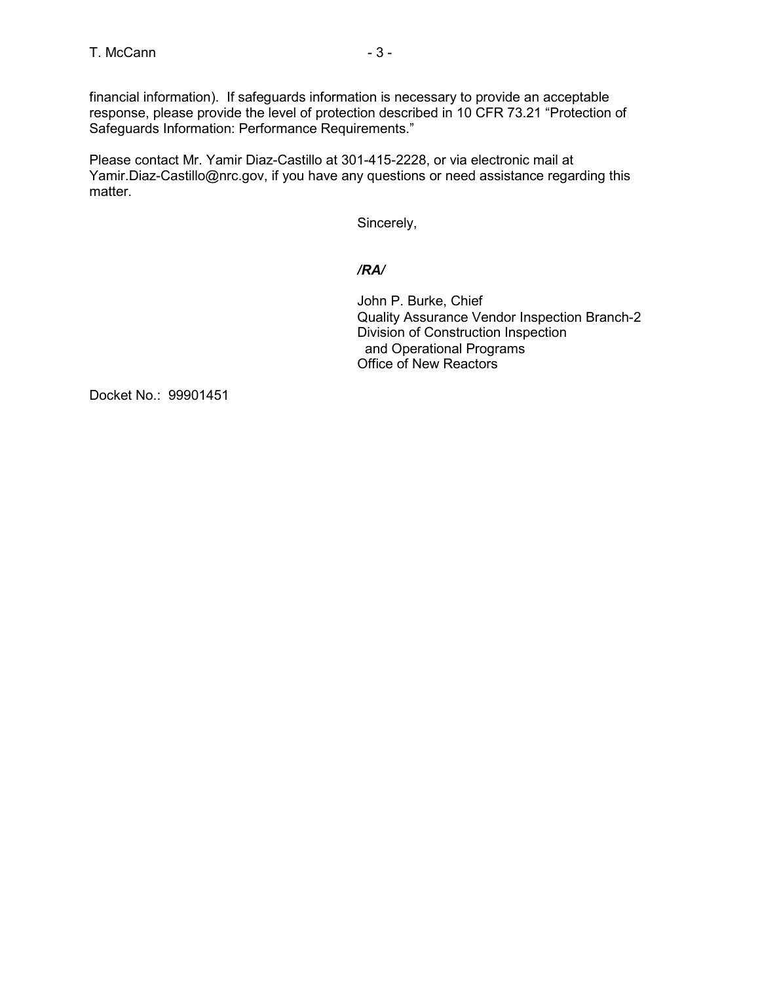financial information). If safeguards information is necessary to provide an acceptable response, please provide the level of protection described in 10 CFR 73.21 "Protection of Safeguards Information: Performance Requirements."

Please contact Mr. Yamir Diaz-Castillo at 301-415-2228, or via electronic mail at Yamir.Diaz-Castillo@nrc.gov, if you have any questions or need assistance regarding this matter.

Sincerely,

## */RA/*

John P. Burke, Chief Quality Assurance Vendor Inspection Branch-2 Division of Construction Inspection and Operational Programs Office of New Reactors

Docket No.: 99901451